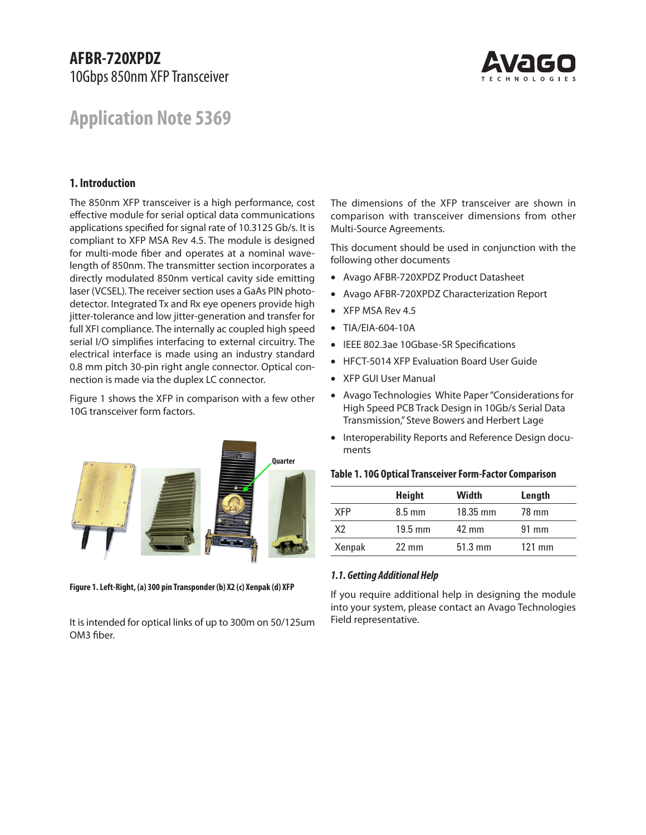# **AFBR-720XPDZ**  10Gbps 850nm XFP Transceiver



# **Application Note 5369**

# **1. Introduction**

The 850nm XFP transceiver is a high performance, cost effective module for serial optical data communications applications specified for signal rate of 10.3125 Gb/s. It is compliant to XFP MSA Rev 4.5. The module is designed for multi-mode fiber and operates at a nominal wavelength of 850nm. The transmitter section incorporates a directly modulated 850nm vertical cavity side emitting laser (VCSEL). The receiver section uses a GaAs PIN photodetector. Integrated Tx and Rx eye openers provide high jitter-tolerance and low jitter-generation and transfer for full XFI compliance. The internally ac coupled high speed serial I/O simplifies interfacing to external circuitry. The electrical interface is made using an industry standard 0.8 mm pitch 30-pin right angle connector. Optical connection is made via the duplex LC connector.

Figure 1 shows the XFP in comparison with a few other 10G transceiver form factors.



**Figure 1. Left-Right, (a) 300 pin Transponder (b) X2 (c) Xenpak (d) XFP**

It is intended for optical links of up to 300m on 50/125um OM3 fiber.

The dimensions of the XFP transceiver are shown in comparison with transceiver dimensions from other Multi-Source Agreements.

This document should be used in conjunction with the following other documents

- Avago AFBR-720XPDZ Product Datasheet
- Avago AFBR-720XPDZ Characterization Report
- XFP MSA Rev 4.5
- TIA/EIA-604-10A
- IEEE 802.3ae 10Gbase-SR Specifications
- HFCT-5014 XFP Evaluation Board User Guide
- XFP GUI User Manual
- Avago Technologies White Paper "Considerations for High Speed PCB Track Design in 10Gb/s Serial Data Transmission," Steve Bowers and Herbert Lage
- Interoperability Reports and Reference Design documents

|  | Table 1. 10G Optical Transceiver Form-Factor Comparison |  |  |
|--|---------------------------------------------------------|--|--|
|--|---------------------------------------------------------|--|--|

|            | <b>Height</b>    | Width              | Length           |
|------------|------------------|--------------------|------------------|
| <b>XFP</b> | $8.5 \text{ mm}$ | $18.35 \text{ mm}$ | 78 mm            |
| X2         | $19.5$ mm        | $42 \text{ mm}$    | $91 \text{ mm}$  |
| Xenpak     | $22 \text{ mm}$  | $51.3 \text{ mm}$  | $121 \text{ mm}$ |

#### *1.1. Getting Additional Help*

If you require additional help in designing the module into your system, please contact an Avago Technologies Field representative.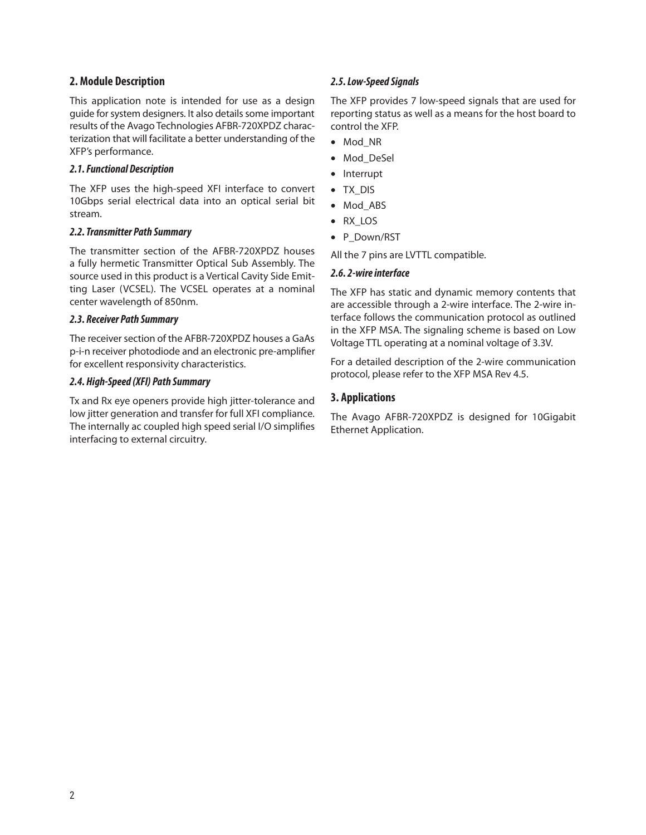# **2. Module Description**

This application note is intended for use as a design guide for system designers. It also details some important results of the Avago Technologies AFBR-720XPDZ characterization that will facilitate a better understanding of the XFP's performance.

# *2.1. Functional Description*

The XFP uses the high-speed XFI interface to convert 10Gbps serial electrical data into an optical serial bit stream.

# *2.2. Transmitter Path Summary*

The transmitter section of the AFBR-720XPDZ houses a fully hermetic Transmitter Optical Sub Assembly. The source used in this product is a Vertical Cavity Side Emitting Laser (VCSEL). The VCSEL operates at a nominal center wavelength of 850nm.

# *2.3. Receiver Path Summary*

The receiver section of the AFBR-720XPDZ houses a GaAs p-i-n receiver photodiode and an electronic pre-amplifier for excellent responsivity characteristics.

# *2.4. High-Speed (XFI) Path Summary*

Tx and Rx eye openers provide high jitter-tolerance and low jitter generation and transfer for full XFI compliance. The internally ac coupled high speed serial I/O simplifies interfacing to external circuitry.

# *2.5. Low-Speed Signals*

The XFP provides 7 low-speed signals that are used for reporting status as well as a means for the host board to control the XFP.

- Mod\_NR
- Mod\_DeSel
- Interrupt
- TX\_DIS
- Mod\_ABS
- RX\_LOS
- P\_Down/RST

All the 7 pins are LVTTL compatible.

# *2.6. 2-wire interface*

The XFP has static and dynamic memory contents that are accessible through a 2-wire interface. The 2-wire interface follows the communication protocol as outlined in the XFP MSA. The signaling scheme is based on Low Voltage TTL operating at a nominal voltage of 3.3V.

For a detailed description of the 2-wire communication protocol, please refer to the XFP MSA Rev 4.5.

# **3. Applications**

The Avago AFBR-720XPDZ is designed for 10Gigabit Ethernet Application.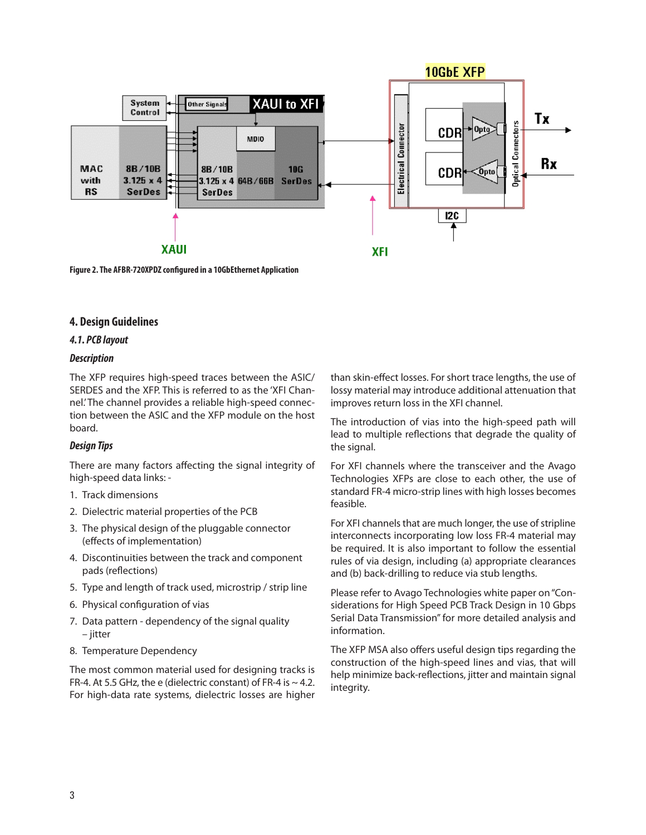

**Figure 2. The AFBR-720XPDZ configured in a 10GbEthernet Application**

# **4. Design Guidelines**

# *4.1. PCB layout*

#### *Description*

The XFP requires high-speed traces between the ASIC/ SERDES and the XFP. This is referred to as the 'XFI Channel.' The channel provides a reliable high-speed connection between the ASIC and the XFP module on the host board.

# *Design Tips*

There are many factors affecting the signal integrity of high-speed data links: -

- 1. Track dimensions
- 2. Dielectric material properties of the PCB
- 3. The physical design of the pluggable connector (effects of implementation)
- 4. Discontinuities between the track and component pads (reflections)
- 5. Type and length of track used, microstrip / strip line
- 6. Physical configuration of vias
- 7. Data pattern dependency of the signal quality – jitter
- 8. Temperature Dependency

The most common material used for designing tracks is FR-4. At 5.5 GHz, the e (dielectric constant) of FR-4 is  $\sim$  4.2. For high-data rate systems, dielectric losses are higher than skin-effect losses. For short trace lengths, the use of lossy material may introduce additional attenuation that improves return loss in the XFI channel.

The introduction of vias into the high-speed path will lead to multiple reflections that degrade the quality of the signal.

For XFI channels where the transceiver and the Avago Technologies XFPs are close to each other, the use of standard FR-4 micro-strip lines with high losses becomes feasible.

For XFI channels that are much longer, the use of stripline interconnects incorporating low loss FR-4 material may be required. It is also important to follow the essential rules of via design, including (a) appropriate clearances and (b) back-drilling to reduce via stub lengths.

Please refer to Avago Technologies white paper on "Considerations for High Speed PCB Track Design in 10 Gbps Serial Data Transmission" for more detailed analysis and information.

The XFP MSA also offers useful design tips regarding the construction of the high-speed lines and vias, that will help minimize back-reflections, jitter and maintain signal integrity.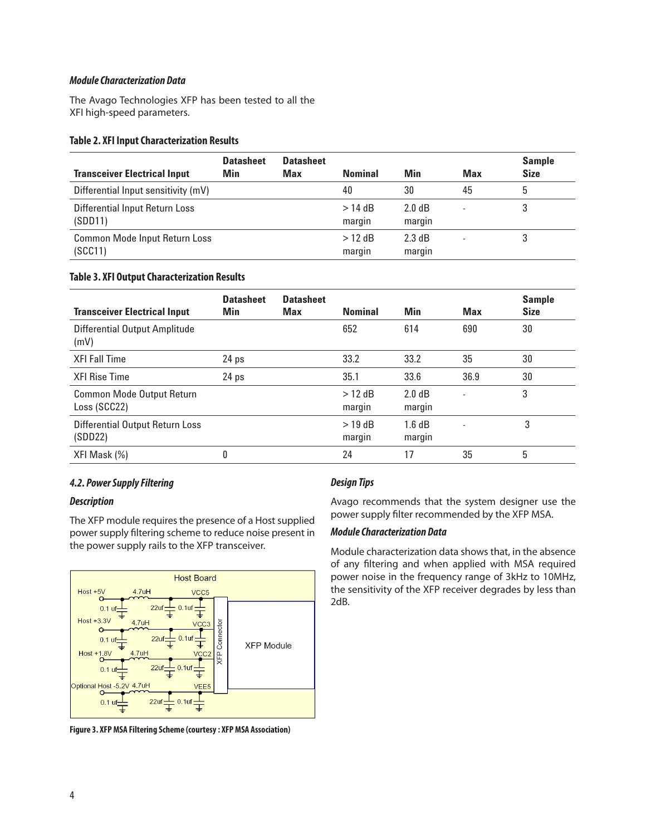### *Module Characterization Data*

The Avago Technologies XFP has been tested to all the XFI high-speed parameters.

#### **Table 2. XFI Input Characterization Results**

| <b>Transceiver Electrical Input</b>             | <b>Datasheet</b><br><b>Min</b> | <b>Datasheet</b><br>Max | <b>Nominal</b>      | Min                        | <b>Max</b> | <b>Sample</b><br><b>Size</b> |
|-------------------------------------------------|--------------------------------|-------------------------|---------------------|----------------------------|------------|------------------------------|
| Differential Input sensitivity (mV)             |                                |                         | 40                  | 30                         | 45         | 5                            |
| Differential Input Return Loss<br>(SDD11)       |                                |                         | $>$ 14 dB<br>marqın | 2.0 dB<br>margin           |            |                              |
| <b>Common Mode Input Return Loss</b><br>(SCC11) |                                |                         | $>12$ dB<br>margin  | $2.3 \text{ dB}$<br>margin |            |                              |

#### **Table 3. XFI Output Characterization Results**

| <b>Transceiver Electrical Input</b>               | <b>Datasheet</b><br>Min | <b>Datasheet</b><br>Max | <b>Nominal</b>      | Min              | <b>Max</b>               | <b>Sample</b><br><b>Size</b> |
|---------------------------------------------------|-------------------------|-------------------------|---------------------|------------------|--------------------------|------------------------------|
| <b>Differential Output Amplitude</b><br>(mV)      |                         |                         | 652                 | 614              | 690                      | 30                           |
| <b>XFI Fall Time</b>                              | 24 <sub>ps</sub>        |                         | 33.2                | 33.2             | 35                       | 30                           |
| <b>XFI Rise Time</b>                              | 24 <sub>ps</sub>        |                         | 35.1                | 33.6             | 36.9                     | 30                           |
| <b>Common Mode Output Return</b><br>Loss (SCC22)  |                         |                         | $>12$ dB<br>margin  | 2.0 dB<br>margin | $\overline{\phantom{a}}$ | 3                            |
| <b>Differential Output Return Loss</b><br>(SDD22) |                         |                         | $>$ 19 dB<br>margin | 1.6 dB<br>margin | $\overline{\phantom{a}}$ | 3                            |
| XFI Mask (%)                                      | 0                       |                         | 24                  | 17               | 35                       | 5                            |

# *4.2. Power Supply Filtering*

#### *Description*

The XFP module requires the presence of a Host supplied power supply filtering scheme to reduce noise present in the power supply rails to the XFP transceiver.



**Figure 3. XFP MSA Filtering Scheme (courtesy : XFP MSA Association)**

# *Design Tips*

Avago recommends that the system designer use the power supply filter recommended by the XFP MSA.

#### *Module Characterization Data*

Module characterization data shows that, in the absence of any filtering and when applied with MSA required power noise in the frequency range of 3kHz to 10MHz, the sensitivity of the XFP receiver degrades by less than 2dB.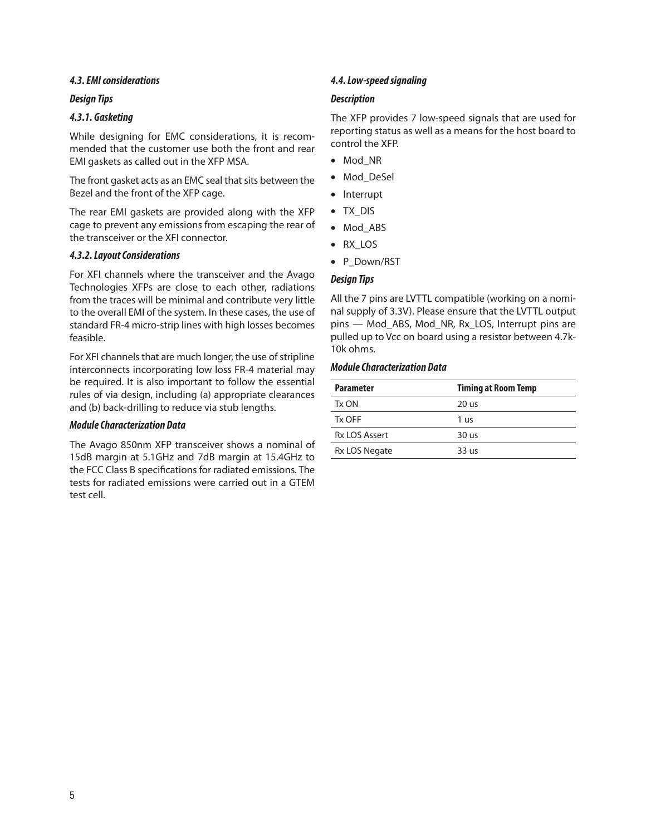# *4.3. EMI considerations*

#### *Design Tips*

# *4.3.1. Gasketing*

While designing for EMC considerations, it is recommended that the customer use both the front and rear EMI gaskets as called out in the XFP MSA.

The front gasket acts as an EMC seal that sits between the Bezel and the front of the XFP cage.

The rear EMI gaskets are provided along with the XFP cage to prevent any emissions from escaping the rear of the transceiver or the XFI connector.

# *4.3.2. Layout Considerations*

For XFI channels where the transceiver and the Avago Technologies XFPs are close to each other, radiations from the traces will be minimal and contribute very little to the overall EMI of the system. In these cases, the use of standard FR-4 micro-strip lines with high losses becomes feasible.

For XFI channels that are much longer, the use of stripline interconnects incorporating low loss FR-4 material may be required. It is also important to follow the essential rules of via design, including (a) appropriate clearances and (b) back-drilling to reduce via stub lengths.

#### *Module Characterization Data*

The Avago 850nm XFP transceiver shows a nominal of 15dB margin at 5.1GHz and 7dB margin at 15.4GHz to the FCC Class B specifications for radiated emissions. The tests for radiated emissions were carried out in a GTEM test cell.

# *4.4. Low-speed signaling*

# *Description*

The XFP provides 7 low-speed signals that are used for reporting status as well as a means for the host board to control the XFP.

- Mod\_NR
- Mod\_DeSel
- Interrupt
- TX\_DIS
- Mod\_ABS
- RX\_LOS
- P\_Down/RST

# *Design Tips*

All the 7 pins are LVTTL compatible (working on a nominal supply of 3.3V). Please ensure that the LVTTL output pins — Mod\_ABS, Mod\_NR, Rx\_LOS, Interrupt pins are pulled up to Vcc on board using a resistor between 4.7k-10k ohms.

# *Module Characterization Data*

| <b>Parameter</b>     | <b>Timing at Room Temp</b> |
|----------------------|----------------------------|
| Tx ON                | 20 us                      |
| Tx OFF               | 1 us                       |
| <b>Rx LOS Assert</b> | $30$ us                    |
| Rx LOS Negate        | 33 us                      |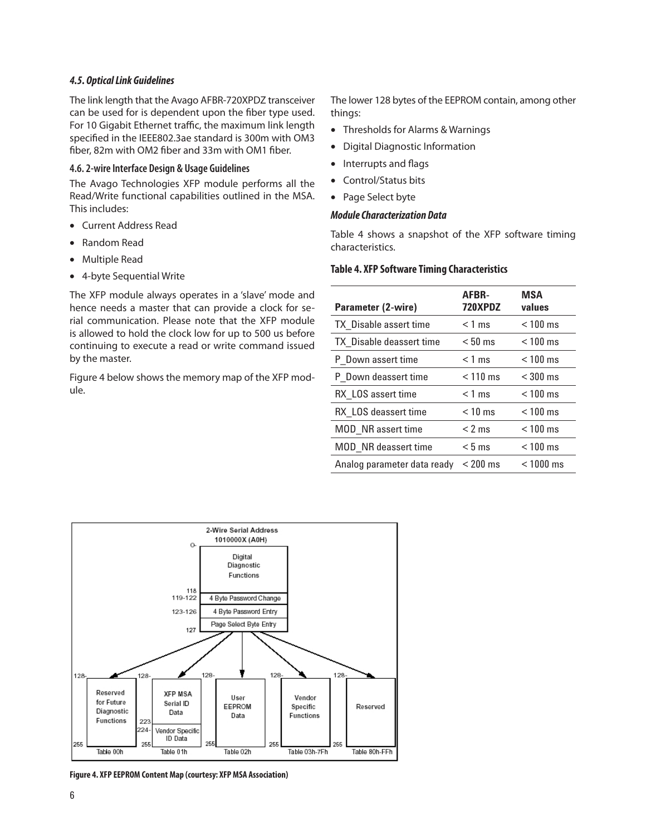#### *4.5. Optical Link Guidelines*

The link length that the Avago AFBR-720XPDZ transceiver can be used for is dependent upon the fiber type used. For 10 Gigabit Ethernet traffic, the maximum link length specified in the IEEE802.3ae standard is 300m with OM3 fiber, 82m with OM2 fiber and 33m with OM1 fiber.

#### **4.6. 2-wire Interface Design & Usage Guidelines**

The Avago Technologies XFP module performs all the Read/Write functional capabilities outlined in the MSA. This includes:

- Current Address Read
- Random Read
- Multiple Read
- 4-byte Sequential Write

The XFP module always operates in a 'slave' mode and hence needs a master that can provide a clock for serial communication. Please note that the XFP module is allowed to hold the clock low for up to 500 us before continuing to execute a read or write command issued by the master.

Figure 4 below shows the memory map of the XFP module.

The lower 128 bytes of the EEPROM contain, among other things:

- Thresholds for Alarms & Warnings
- Digital Diagnostic Information
- Interrupts and flags
- Control/Status bits
- Page Select byte

#### *Module Characterization Data*

Table 4 shows a snapshot of the XFP software timing characteristics.

#### **Table 4. XFP Software Timing Characteristics**

| Parameter (2-wire)            | AFBR-<br>720XPDZ | <b>MSA</b><br>values |
|-------------------------------|------------------|----------------------|
| <b>TX</b> Disable assert time | $<$ 1 ms         | $< 100$ ms           |
| TX Disable deassert time      | $< 50$ ms        | $< 100$ ms           |
| P Down assert time            | $<$ 1 ms         | $< 100$ ms           |
| P Down deassert time          | $< 110$ ms       | $<$ 300 ms           |
| RX LOS assert time            | $<$ 1 ms         | $< 100$ ms           |
| RX LOS deassert time          | $< 10$ ms        | $< 100$ ms           |
| MOD NR assert time            | $< 2$ ms         | $< 100$ ms           |
| <b>MOD</b> NR deassert time   | $< 5$ ms         | $< 100$ ms           |
| Analog parameter data ready   | $< 200$ ms       | $< 1000$ ms          |



**Figure 4. XFP EEPROM Content Map (courtesy: XFP MSA Association)**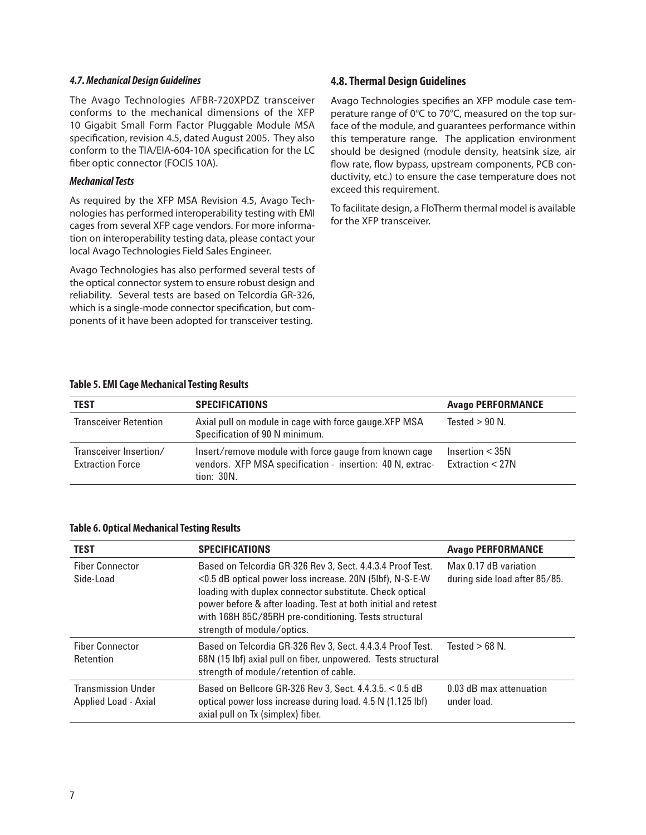#### *4.7. Mechanical Design Guidelines*

The Avago Technologies AFBR-720XPDZ transceiver conforms to the mechanical dimensions of the XFP 10 Gigabit Small Form Factor Pluggable Module MSA specification, revision 4.5, dated August 2005. They also conform to the TIA/EIA-604-10A specification for the LC fiber optic connector (FOCIS 10A).

#### *Mechanical Tests*

As required by the XFP MSA Revision 4.5, Avago Technologies has performed interoperability testing with EMI cages from several XFP cage vendors. For more information on interoperability testing data, please contact your local Avago Technologies Field Sales Engineer.

Avago Technologies has also performed several tests of the optical connector system to ensure robust design and reliability. Several tests are based on Telcordia GR-326, which is a single-mode connector specification, but components of it have been adopted for transceiver testing.

### **4.8. Thermal Design Guidelines**

Avago Technologies specifies an XFP module case temperature range of 0°C to 70°C, measured on the top surface of the module, and guarantees performance within this temperature range. The application environment should be designed (module density, heatsink size, air flow rate, flow bypass, upstream components, PCB conductivity, etc.) to ensure the case temperature does not exceed this requirement.

To facilitate design, a FloTherm thermal model is available for the XFP transceiver.

#### **Table 5. EMI Cage Mechanical Testing Results**

| <b>TEST</b>                                       | <b>SPECIFICATIONS</b>                                                                                                            | <b>Avago PERFORMANCE</b>              |
|---------------------------------------------------|----------------------------------------------------------------------------------------------------------------------------------|---------------------------------------|
| <b>Transceiver Retention</b>                      | Axial pull on module in cage with force gauge. XFP MSA<br>Specification of 90 N minimum.                                         | Tested $> 90$ N.                      |
| Transceiver Insertion/<br><b>Extraction Force</b> | Insert/remove module with force gauge from known cage<br>vendors. XFP MSA specification - insertion: 40 N, extrac-<br>tion: 30N. | Insertion $<$ 35N<br>Extraction < 27N |

#### **Table 6. Optical Mechanical Testing Results**

| <b>TEST</b>                                       | <b>SPECIFICATIONS</b>                                                                                                                                                                                                                                                                                                                     | <b>Avago PERFORMANCE</b>                               |
|---------------------------------------------------|-------------------------------------------------------------------------------------------------------------------------------------------------------------------------------------------------------------------------------------------------------------------------------------------------------------------------------------------|--------------------------------------------------------|
| <b>Fiber Connector</b><br>Side-Load               | Based on Telcordia GR-326 Rev 3, Sect. 4.4.3.4 Proof Test.<br><0.5 dB optical power loss increase. 20N (5lbf), N-S-E-W<br>loading with duplex connector substitute. Check optical<br>power before & after loading. Test at both initial and retest<br>with 168H 85C/85RH pre-conditioning. Tests structural<br>strength of module/optics. | Max 0.17 dB variation<br>during side load after 85/85. |
| <b>Fiber Connector</b><br>Retention               | Based on Telcordia GR-326 Rev 3, Sect. 4.4.3.4 Proof Test.<br>68N (15 lbf) axial pull on fiber, unpowered. Tests structural<br>strength of module/retention of cable.                                                                                                                                                                     | Tested $> 68$ N.                                       |
| <b>Transmission Under</b><br>Applied Load - Axial | Based on Bellcore GR-326 Rev 3, Sect. 4.4.3.5, < 0.5 dB<br>optical power loss increase during load. 4.5 N (1.125 lbf)<br>axial pull on Tx (simplex) fiber.                                                                                                                                                                                | 0.03 dB max attenuation<br>under load.                 |